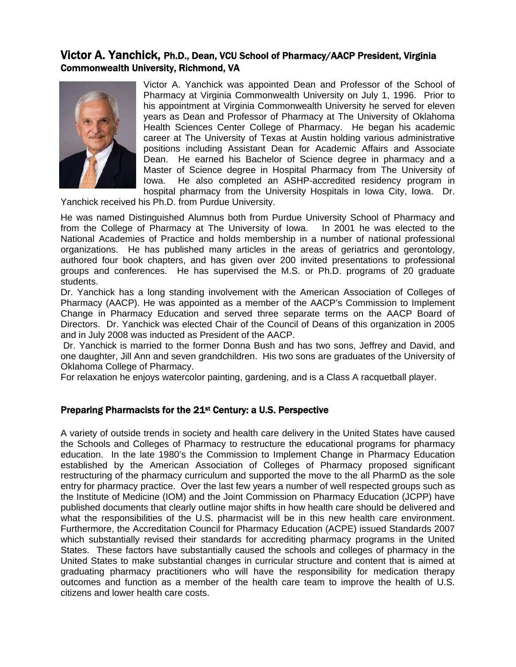# Victor A. Yanchick, Ph.D., Dean, VCU School of Pharmacy/AACP President, Virginia Commonwealth University, Richmond, VA



Victor A. Yanchick was appointed Dean and Professor of the School of Pharmacy at Virginia Commonwealth University on July 1, 1996. Prior to his appointment at Virginia Commonwealth University he served for eleven years as Dean and Professor of Pharmacy at The University of Oklahoma Health Sciences Center College of Pharmacy. He began his academic career at The University of Texas at Austin holding various administrative positions including Assistant Dean for Academic Affairs and Associate Dean. He earned his Bachelor of Science degree in pharmacy and a Master of Science degree in Hospital Pharmacy from The University of Iowa. He also completed an ASHP-accredited residency program in hospital pharmacy from the University Hospitals in Iowa City, Iowa. Dr.

Yanchick received his Ph.D. from Purdue University.

He was named Distinguished Alumnus both from Purdue University School of Pharmacy and from the College of Pharmacy at The University of Iowa. In 2001 he was elected to the National Academies of Practice and holds membership in a number of national professional organizations. He has published many articles in the areas of geriatrics and gerontology, authored four book chapters, and has given over 200 invited presentations to professional groups and conferences. He has supervised the M.S. or Ph.D. programs of 20 graduate students.

Dr. Yanchick has a long standing involvement with the American Association of Colleges of Pharmacy (AACP). He was appointed as a member of the AACP's Commission to Implement Change in Pharmacy Education and served three separate terms on the AACP Board of Directors. Dr. Yanchick was elected Chair of the Council of Deans of this organization in 2005 and in July 2008 was inducted as President of the AACP.

 Dr. Yanchick is married to the former Donna Bush and has two sons, Jeffrey and David, and one daughter, Jill Ann and seven grandchildren. His two sons are graduates of the University of Oklahoma College of Pharmacy.

For relaxation he enjoys watercolor painting, gardening, and is a Class A racquetball player.

# Preparing Pharmacists for the 21st Century: a U.S. Perspective

A variety of outside trends in society and health care delivery in the United States have caused the Schools and Colleges of Pharmacy to restructure the educational programs for pharmacy education. In the late 1980's the Commission to Implement Change in Pharmacy Education established by the American Association of Colleges of Pharmacy proposed significant restructuring of the pharmacy curriculum and supported the move to the all PharmD as the sole entry for pharmacy practice. Over the last few years a number of well respected groups such as the Institute of Medicine (IOM) and the Joint Commission on Pharmacy Education (JCPP) have published documents that clearly outline major shifts in how health care should be delivered and what the responsibilities of the U.S. pharmacist will be in this new health care environment. Furthermore, the Accreditation Council for Pharmacy Education (ACPE) issued Standards 2007 which substantially revised their standards for accrediting pharmacy programs in the United States. These factors have substantially caused the schools and colleges of pharmacy in the United States to make substantial changes in curricular structure and content that is aimed at graduating pharmacy practitioners who will have the responsibility for medication therapy outcomes and function as a member of the health care team to improve the health of U.S. citizens and lower health care costs.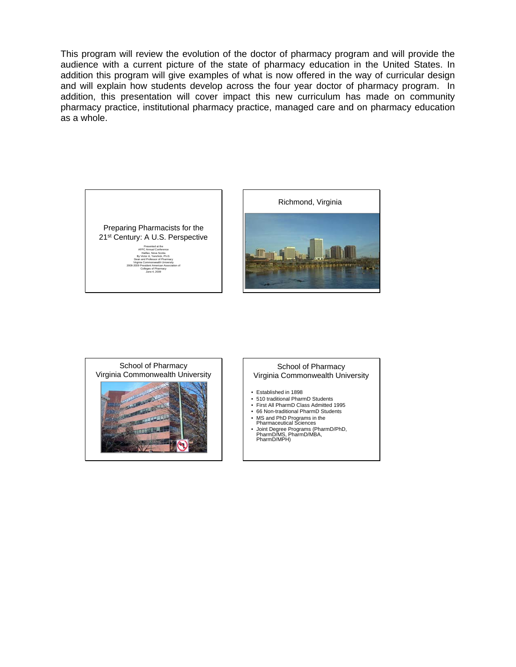This program will review the evolution of the doctor of pharmacy program and will provide the audience with a current picture of the state of pharmacy education in the United States. In addition this program will give examples of what is now offered in the way of curricular design and will explain how students develop across the four year doctor of pharmacy program. In addition, this presentation will cover impact this new curriculum has made on community pharmacy practice, institutional pharmacy practice, managed care and on pharmacy education as a whole.







#### School of Pharmacy Virginia Commonwealth University

- Established in 1898
- 510 traditional PharmD Students
- First All PharmD Class Admitted 1995
- 66 Non-traditional PharmD Students
- MS and PhD Programs in the Pharmaceutical Sciences
- Joint Degree Programs (PharmD/PhD, PharmD/MS, PharmD/MBA, PharmD/MPH)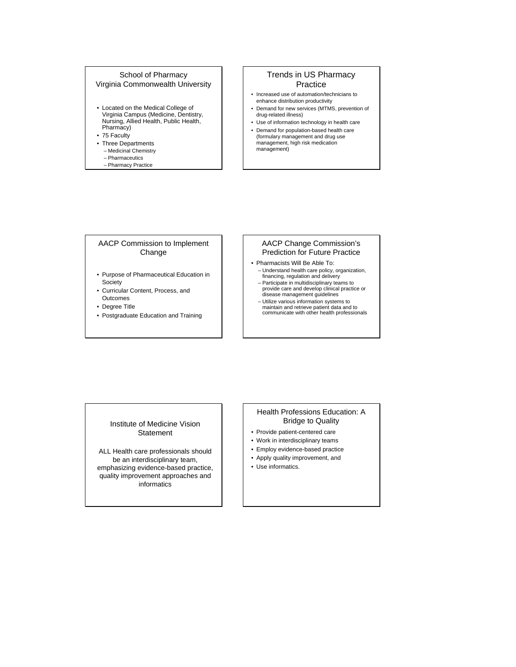#### School of Pharmacy Virginia Commonwealth University

• Located on the Medical College of Virginia Campus (Medicine, Dentistry, Nursing, Allied Health, Public Health, Pharmacy)

• 75 Faculty

- Three Departments
	- Medicinal Chemistry – Pharmaceutics
	- Pharmacy Practice

### Trends in US Pharmacy Practice

- Increased use of automation/technicians to enhance distribution productivity
- Demand for new services (MTMS, prevention of drug-related illness) • Use of information technology in health care
- Demand for population-based health care (formulary management and drug use management, high risk medication management)

#### AACP Commission to Implement Change

- Purpose of Pharmaceutical Education in Society
- Curricular Content, Process, and **Outcomes**
- Degree Title
- Postgraduate Education and Training

#### AACP Change Commission's Prediction for Future Practice

- Pharmacists Will Be Able To: – Understand health care policy, organization, financing, regulation and delivery
	- Participate in multidisciplinary teams to provide care and develop clinical practice or disease management guidelines
	- Utilize various information systems to maintain and retrieve patient data and to communicate with other health professionals

#### Institute of Medicine Vision **Statement**

ALL Health care professionals should be an interdisciplinary team, emphasizing evidence-based practice, quality improvement approaches and informatics

#### Health Professions Education: A Bridge to Quality

- Provide patient-centered care
- Work in interdisciplinary teams
- Employ evidence-based practice
- Apply quality improvement, and
- Use informatics.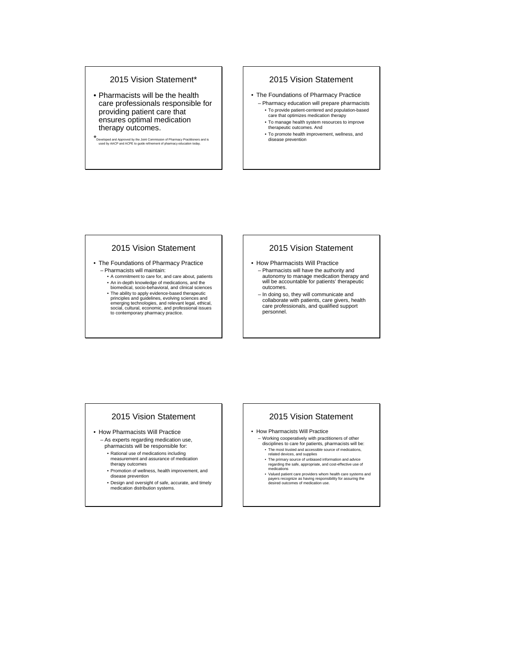# 2015 Vision Statement\*

• Pharmacists will be the health care professionals responsible for providing patient care that ensures optimal medication therapy outcomes.

\*Developed and Approved by the Joint Commission of Pharmacy Practitioners and is used by AACP and ACPE to guide refinement of pharmacy education today.

# 2015 Vision Statement

- The Foundations of Pharmacy Practice – Pharmacy education will prepare pharmacists • To provide patient-centered and population-based care that optimizes medication therapy
	- To manage health system resources to improve therapeutic outcomes. And
	- To promote health improvement, wellness, and disease prevention

#### 2015 Vision Statement

- The Foundations of Pharmacy Practice – Pharmacists will maintain:
	- A commitment to care for, and care about, patients
	- An in-depth knowledge of medications, and the biomedical, socio-behavioral, and clinical sciences
	- The ability to apply evidence-based therapeutic principles and guidelines, evolving sciences and emerging technologies, and relevant legal, ethical, social, cultural, economic, and professional issues to contemporary pharmacy practice.

#### 2015 Vision Statement

- How Pharmacists Will Practice – Pharmacists will have the authority and autonomy to manage medication therapy and will be accountable for patients' therapeutic outcomes.
	- In doing so, they will communicate and collaborate with patients, care givers, health care professionals, and qualified support personnel.

# 2015 Vision Statement

- How Pharmacists Will Practice
	- As experts regarding medication use,
	- pharmacists will be responsible for: • Rational use of medications including
	- measurement and assurance of medication therapy outcomes
	- Promotion of wellness, health improvement, and disease prevention
	-
	- Design and oversight of safe, accurate, and timely medication distribution systems.

#### 2015 Vision Statement

- How Pharmacists Will Practice
	- Working cooperatively with practitioners of other disciplines to care for patients, pharmacists will be: • The most trusted and accessible source of medications, related devices, and supplies
	-
	- The primary source of unbiased information and advice regarding the safe, appropriate, and cost-effective use of medications
	- Valued patient care providers whom health care systems and payers recognize as having responsibility for assuring the desired outcomes of medication use.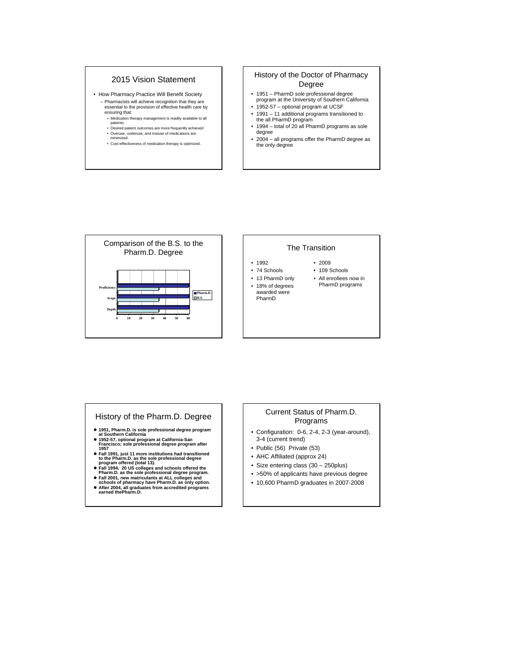# 2015 Vision Statement

- How Pharmacy Practice Will Benefit Society – Pharmacists will achieve recognition that they are essential to the provision of effective health care by ensuring that: • Medication therapy management is readily available to all
	- patients<br>• Desired patient outcomes are more frequently achieved
	- Desired patient outcomes are more frequently achieved Overuse, underuse, and misuse of medications are minimized
	-
	- Cost-effectiveness of medication therapy is optimized.

#### History of the Doctor of Pharmacy Degree

- 1951 PharmD sole professional degree program at the University of Southern California • 1952-57 – optional program at UCSF
- 1991 11 additional programs transitioned to the all PharmD program
- 1994 total of 20 all PharmD programs as sole degree
- 2004 all programs offer the PharmD degree as the only degree



#### The Transition

- 1992
- 74 Schools • 13 PharmD only
- 109 Schools • All enrollees now in PharmD programs

• 2009

#### • 18% of degrees

awarded were PharmD

- History of the Pharm.D. Degree
- z **1951, Pharm.D. is sole professional degree program at Southern California**
- z **1952-57, optional program at California-San Francisco; sole professional degree program after 1957**
- z **Fall 1991, just 11 more institutions had transitioned to the Pharm.D. as the sole professional degree program offered (total 13).**
- Fall 1994, 20 US colleges and schools offered the<br>Pharm.D. as the sole professional degree program.<br>● Fall 2001, new matriculants at ALL colleges and<br>schools of pharmacy have Pharm.D. as only option.
- 
- z **After 2004, all graduates from accredited programs earned thePharm.D.**

#### Current Status of Pharm.D. Programs

- Configuration: 0-6, 2-4, 2-3 (year-around), 3-4 (current trend)
- Public (56) Private (53)
- AHC Affiliated (approx 24)
- Size entering class (30 250plus)
- >50% of applicants have previous degree
- 10,600 PharmD graduates in 2007-2008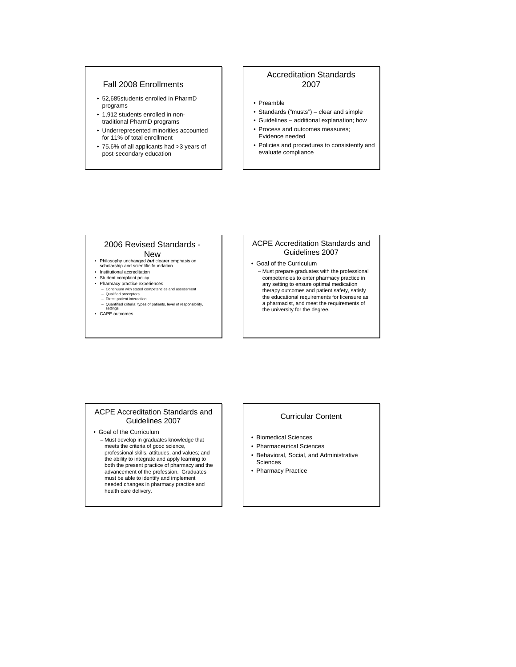#### Fall 2008 Enrollments

- 52,685students enrolled in PharmD programs
- 1,912 students enrolled in nontraditional PharmD programs
- Underrepresented minorities accounted for 11% of total enrollment
- 75.6% of all applicants had >3 years of post-secondary education

#### Accreditation Standards 2007

- Preamble
- Standards ("musts") clear and simple
- Guidelines additional explanation; how
- Process and outcomes measures; Evidence needed
- Policies and procedures to consistently and evaluate compliance

#### 2006 Revised Standards - New

- Philosophy unchanged *but* clearer emphasis on scholarship and scientific foundation
- Institutional accreditation
- Student complaint policy
	-
- Pharmacy practice experiences Continuum with stated competencies and assessment Qualified preceptors
	- Direct patient interaction
	- Quantified criteria: types of patients, level of responsibility, settings
- CAPE outcomes

#### ACPE Accreditation Standards and Guidelines 2007

• Goal of the Curriculum

– Must prepare graduates with the professional competencies to enter pharmacy practice in any setting to ensure optimal medication therapy outcomes and patient safety, satisfy the educational requirements for licensure as a pharmacist, and meet the requirements of the university for the degree.

#### ACPE Accreditation Standards and Guidelines 2007

- Goal of the Curriculum
- Must develop in graduates knowledge that meets the criteria of good science, professional skills, attitudes, and values; and the ability to integrate and apply learning to both the present practice of pharmacy and the advancement of the profession. Graduates must be able to identify and implement needed changes in pharmacy practice and health care delivery.

#### Curricular Content

- Biomedical Sciences
- Pharmaceutical Sciences
- Behavioral, Social, and Administrative Sciences
- Pharmacy Practice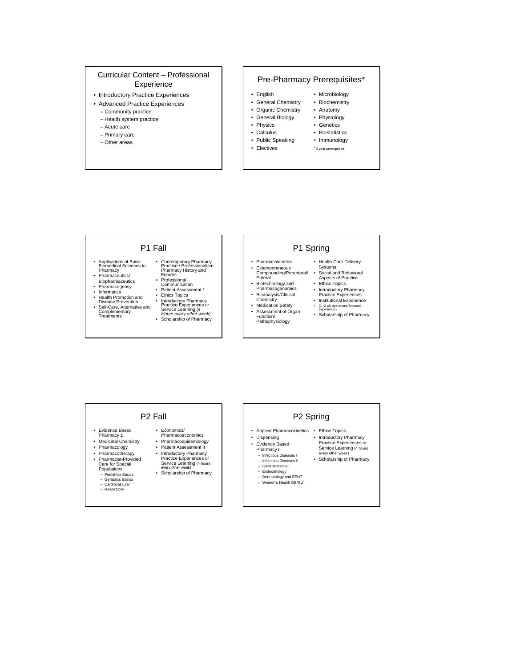#### Curricular Content – Professional Experience

- Introductory Practice Experiences
- Advanced Practice Experiences
	- Community practice
	- Health system practice
	- Acute care
	- Primary care – Other areas
	-

#### Pre-Pharmacy Prerequisites\*

- English
- General Chemistry • Microbiology • Biochemistry
- Organic Chemistry • Anatomy

• Physiology • Genetics • Biostatistics • Immunology \*3 year prerequisite

- General Biology
- Physics
- Calculus
- Public Speaking
- Electives

#### P1 Fall

- Applications of Basic Biomedical Sciences to Pharmacy Pharmaceutics/
- 
- Biopharmaceutics
- Pharmacognosy
- Informatics<br>• Health Prom
- 
- Health Promotion and<br>• Self-Care, Alternative and<br>• Self-Care, Alternative and<br>Complementary<br>Treatments
- Contemporary Pharmacy Practice / Professionalism Pharmacy History and Futures
- Professional<br>Communication
- Patient Assessment 1
- Ethics Topics<br>• Introductory P

• Introductory Pharmacy Practice Experiences or Service Learning (*4 Hours every other week*)

• Scholarship of Pharmacy

# P1 Spring

- Pharmacokinetics • Extemporaneous
- Compounding/Parenteral/ Enteral • Biotechnology and
- Pharmacogenomics Bioanalysis/Clinical
- Chemistry Medication Safety
	- Assessment of Organ Function/ Pathophysiology
- Practice Experiences • Institutional Experience<br>• (1 -2 wk operations focused • (1 -2 wk operations focused

• Health Care Delivery Systems • Social and Behavioral Aspects of Practice • Ethics Topics • Introductory Pharmacy

experience) • Scholarship of Pharmacy

# P2 Fall

• Economics/ Pharmacoeconomics • Pharmacoepidemiology • Patient Assessment II • Introductory Pharmacy Practice Experiences or Service Learning (4 hours every other week) • Scholarship of Pharmacy

- Evidence Based
- Pharmacy 1 Medicinal Chemistry
- Pharmacology
- Pharmacotherapy • Pharmacist-Provided
- Care for Special Populations Pediatrics Basics
	-
	- Geriatrics Basics
	- Cardiovascular Respiratory
		-

# P2 Spring

- Applied Pharmacokinetics Ethics Topics
- Dispensing • Evidence Based • Introductory Pharmacy Practice Experiences or Service Learning (4 hours
	- Pharmacy II – Infectious Diseases I every other week)
	- Infectious Diseases II – Gastrointestinal • Scholarship of Pharmacy
	-
	- Endocrinology Dermatology and EENT
	- Women's Health OB/Gyn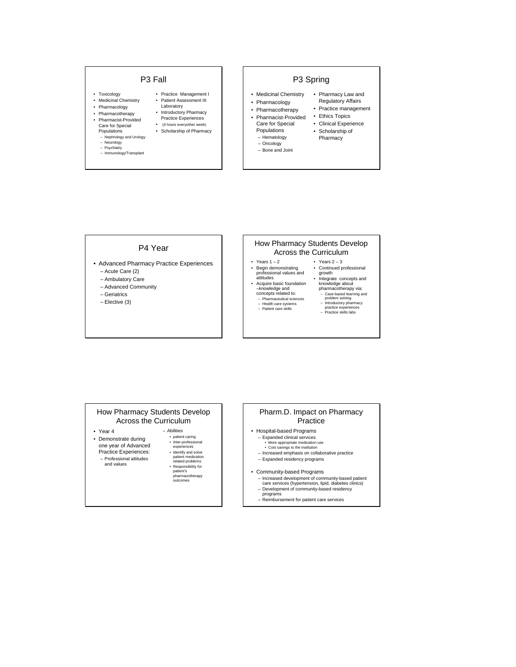# P3 Fall

- 
- Toxicology Medicinal Chemistry
- Pharmacology
- Pharmacotherapy • Pharmacist-Provided
- Care for Special
- Populations
- Nephrology and Urology
- Neurology
- Psychiatry
- Immunology/Transplant

#### • Practice Management I • Patient Assessment III

- Laboratory
- Introductory Pharmacy Practice Experiences
- (4 hours everyother week)
- Scholarship of Pharmacy
	-
- P3 Spring
- Medicinal Chemistry • Pharmacology • Pharmacy Law and Regulatory Affairs

Pharmacy

- Pharmacotherapy • Practice management
- Pharmacist-Provided Ethics Topics
- Care for Special • Clinical Experience • Scholarship of
- Populations
- Hematology
- Oncology Bone and Joint
- 

#### P4 Year

- Advanced Pharmacy Practice Experiences – Acute Care (2)
	- Ambulatory Care
	- Advanced Community
	- Geriatrics
	- Elective (3)

#### How Pharmacy Students Develop Across the Curriculum

- Years  $1 2$ • Begin demonstrating professional values and attitudes
- Acquire basic foundation –knowledge and concepts related to: – Pharmaceutical sciences – Health care systems – Patient care skills
- Integrate concepts and knowledge about pharmacotherapy via: – Case-based learning and problem solving – Introductory pharmacy practice experiences – Practice skills labs
- 

• Years  $2 - 3$ • Continued professional growth

# How Pharmacy Students Develop Across the Curriculum

- Year 4
- Demonstrate during one year of Advanced
- Practice Experiences:
- Professional attitudes and values

patient medication related problems • Responsibility for patient's pharmacotherapy outcomes

• patient caring • Inter-professional experiences • Identify and solve

– Abilities

#### Pharm.D. Impact on Pharmacy Practice

- Hospital-based Programs
	- Expanded clinical services More appropriate medication use Cost savings to the institution
	-
	- Increased emphasis on collaborative practice – Expanded residency programs

#### • Community-based Programs

- Increased development of community-based patient care services (hypertension, lipid, diabetes clinics)
- Development of community-based residency
- programs Reimbursement for patient care services